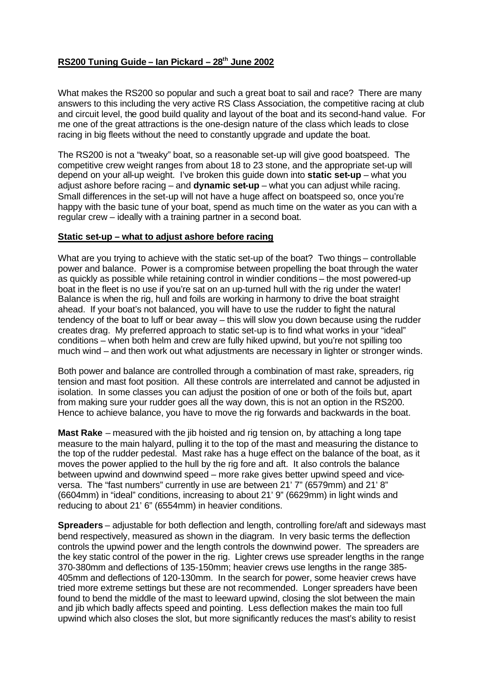## **RS200 Tuning Guide – Ian Pickard – 28th June 2002**

What makes the RS200 so popular and such a great boat to sail and race? There are many answers to this including the very active RS Class Association, the competitive racing at club and circuit level, the good build quality and layout of the boat and its second-hand value. For me one of the great attractions is the one-design nature of the class which leads to close racing in big fleets without the need to constantly upgrade and update the boat.

The RS200 is not a "tweaky" boat, so a reasonable set-up will give good boatspeed. The competitive crew weight ranges from about 18 to 23 stone, and the appropriate set-up will depend on your all-up weight. I've broken this guide down into **static set-up** – what you adjust ashore before racing – and **dynamic set-up** – what you can adjust while racing. Small differences in the set-up will not have a huge affect on boatspeed so, once you're happy with the basic tune of your boat, spend as much time on the water as you can with a regular crew – ideally with a training partner in a second boat.

## **Static set-up – what to adjust ashore before racing**

What are you trying to achieve with the static set-up of the boat? Two things – controllable power and balance. Power is a compromise between propelling the boat through the water as quickly as possible while retaining control in windier conditions – the most powered-up boat in the fleet is no use if you're sat on an up-turned hull with the rig under the water! Balance is when the rig, hull and foils are working in harmony to drive the boat straight ahead. If your boat's not balanced, you will have to use the rudder to fight the natural tendency of the boat to luff or bear away – this will slow you down because using the rudder creates drag. My preferred approach to static set-up is to find what works in your "ideal" conditions – when both helm and crew are fully hiked upwind, but you're not spilling too much wind – and then work out what adjustments are necessary in lighter or stronger winds.

Both power and balance are controlled through a combination of mast rake, spreaders, rig tension and mast foot position. All these controls are interrelated and cannot be adjusted in isolation. In some classes you can adjust the position of one or both of the foils but, apart from making sure your rudder goes all the way down, this is not an option in the RS200. Hence to achieve balance, you have to move the rig forwards and backwards in the boat.

**Mast Rake** – measured with the jib hoisted and rig tension on, by attaching a long tape measure to the main halyard, pulling it to the top of the mast and measuring the distance to the top of the rudder pedestal. Mast rake has a huge effect on the balance of the boat, as it moves the power applied to the hull by the rig fore and aft. It also controls the balance between upwind and downwind speed – more rake gives better upwind speed and viceversa. The "fast numbers" currently in use are between 21' 7" (6579mm) and 21' 8" (6604mm) in "ideal" conditions, increasing to about 21' 9" (6629mm) in light winds and reducing to about 21' 6" (6554mm) in heavier conditions.

**Spreaders** – adjustable for both deflection and length, controlling fore/aft and sideways mast bend respectively, measured as shown in the diagram. In very basic terms the deflection controls the upwind power and the length controls the downwind power. The spreaders are the key static control of the power in the rig. Lighter crews use spreader lengths in the range 370-380mm and deflections of 135-150mm; heavier crews use lengths in the range 385- 405mm and deflections of 120-130mm. In the search for power, some heavier crews have tried more extreme settings but these are not recommended. Longer spreaders have been found to bend the middle of the mast to leeward upwind, closing the slot between the main and jib which badly affects speed and pointing. Less deflection makes the main too full upwind which also closes the slot, but more significantly reduces the mast's ability to resist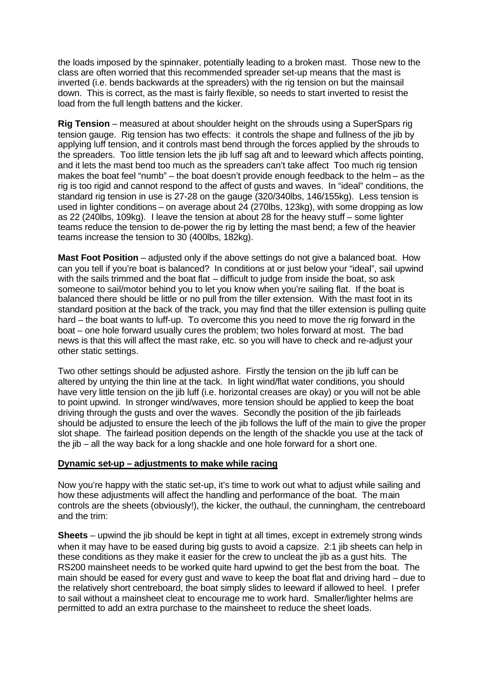the loads imposed by the spinnaker, potentially leading to a broken mast. Those new to the class are often worried that this recommended spreader set-up means that the mast is inverted (i.e. bends backwards at the spreaders) with the rig tension on but the mainsail down. This is correct, as the mast is fairly flexible, so needs to start inverted to resist the load from the full length battens and the kicker.

**Rig Tension** – measured at about shoulder height on the shrouds using a SuperSpars rig tension gauge. Rig tension has two effects: it controls the shape and fullness of the jib by applying luff tension, and it controls mast bend through the forces applied by the shrouds to the spreaders. Too little tension lets the jib luff sag aft and to leeward which affects pointing, and it lets the mast bend too much as the spreaders can't take affect Too much rig tension makes the boat feel "numb" – the boat doesn't provide enough feedback to the helm – as the rig is too rigid and cannot respond to the affect of gusts and waves. In "ideal" conditions, the standard rig tension in use is 27-28 on the gauge (320/340lbs, 146/155kg). Less tension is used in lighter conditions – on average about 24 (270lbs, 123kg), with some dropping as low as 22 (240lbs, 109kg). I leave the tension at about 28 for the heavy stuff – some lighter teams reduce the tension to de-power the rig by letting the mast bend; a few of the heavier teams increase the tension to 30 (400lbs, 182kg).

**Mast Foot Position** – adjusted only if the above settings do not give a balanced boat. How can you tell if you're boat is balanced? In conditions at or just below your "ideal", sail upwind with the sails trimmed and the boat flat – difficult to judge from inside the boat, so ask someone to sail/motor behind you to let you know when you're sailing flat. If the boat is balanced there should be little or no pull from the tiller extension. With the mast foot in its standard position at the back of the track, you may find that the tiller extension is pulling quite hard – the boat wants to luff-up. To overcome this you need to move the rig forward in the boat – one hole forward usually cures the problem; two holes forward at most. The bad news is that this will affect the mast rake, etc. so you will have to check and re-adjust your other static settings.

Two other settings should be adjusted ashore. Firstly the tension on the jib luff can be altered by untying the thin line at the tack. In light wind/flat water conditions, you should have very little tension on the jib luff (i.e. horizontal creases are okay) or you will not be able to point upwind. In stronger wind/waves, more tension should be applied to keep the boat driving through the gusts and over the waves. Secondly the position of the jib fairleads should be adjusted to ensure the leech of the jib follows the luff of the main to give the proper slot shape. The fairlead position depends on the length of the shackle you use at the tack of the jib – all the way back for a long shackle and one hole forward for a short one.

## **Dynamic set-up – adjustments to make while racing**

Now you're happy with the static set-up, it's time to work out what to adjust while sailing and how these adjustments will affect the handling and performance of the boat. The main controls are the sheets (obviously!), the kicker, the outhaul, the cunningham, the centreboard and the trim:

**Sheets** – upwind the jib should be kept in tight at all times, except in extremely strong winds when it may have to be eased during big gusts to avoid a capsize. 2:1 jib sheets can help in these conditions as they make it easier for the crew to uncleat the jib as a gust hits. The RS200 mainsheet needs to be worked quite hard upwind to get the best from the boat. The main should be eased for every gust and wave to keep the boat flat and driving hard – due to the relatively short centreboard, the boat simply slides to leeward if allowed to heel. I prefer to sail without a mainsheet cleat to encourage me to work hard. Smaller/lighter helms are permitted to add an extra purchase to the mainsheet to reduce the sheet loads.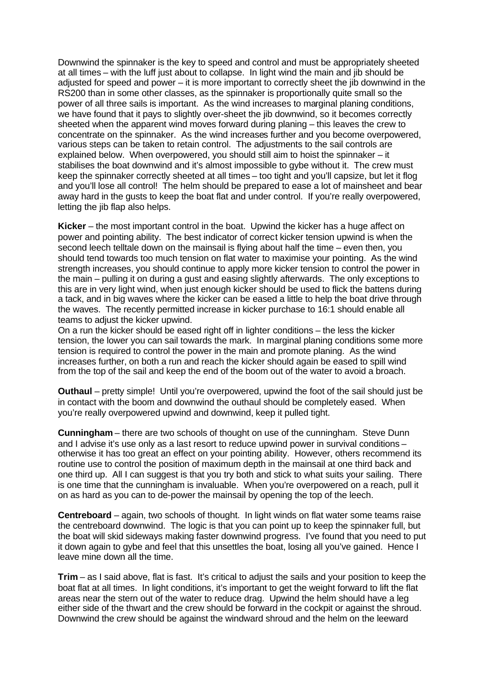Downwind the spinnaker is the key to speed and control and must be appropriately sheeted at all times – with the luff just about to collapse. In light wind the main and jib should be adjusted for speed and power – it is more important to correctly sheet the jib downwind in the RS200 than in some other classes, as the spinnaker is proportionally quite small so the power of all three sails is important. As the wind increases to marginal planing conditions, we have found that it pays to slightly over-sheet the jib downwind, so it becomes correctly sheeted when the apparent wind moves forward during planing – this leaves the crew to concentrate on the spinnaker. As the wind increases further and you become overpowered, various steps can be taken to retain control. The adjustments to the sail controls are explained below. When overpowered, you should still aim to hoist the spinnaker – it stabilises the boat downwind and it's almost impossible to gybe without it. The crew must keep the spinnaker correctly sheeted at all times – too tight and you'll capsize, but let it flog and you'll lose all control! The helm should be prepared to ease a lot of mainsheet and bear away hard in the gusts to keep the boat flat and under control. If you're really overpowered, letting the jib flap also helps.

**Kicker** – the most important control in the boat. Upwind the kicker has a huge affect on power and pointing ability. The best indicator of correct kicker tension upwind is when the second leech telltale down on the mainsail is flying about half the time – even then, you should tend towards too much tension on flat water to maximise your pointing. As the wind strength increases, you should continue to apply more kicker tension to control the power in the main – pulling it on during a gust and easing slightly afterwards. The only exceptions to this are in very light wind, when just enough kicker should be used to flick the battens during a tack, and in big waves where the kicker can be eased a little to help the boat drive through the waves. The recently permitted increase in kicker purchase to 16:1 should enable all teams to adjust the kicker upwind.

On a run the kicker should be eased right off in lighter conditions – the less the kicker tension, the lower you can sail towards the mark. In marginal planing conditions some more tension is required to control the power in the main and promote planing. As the wind increases further, on both a run and reach the kicker should again be eased to spill wind from the top of the sail and keep the end of the boom out of the water to avoid a broach.

**Outhaul** – pretty simple! Until you're overpowered, upwind the foot of the sail should just be in contact with the boom and downwind the outhaul should be completely eased. When you're really overpowered upwind and downwind, keep it pulled tight.

**Cunningham** – there are two schools of thought on use of the cunningham. Steve Dunn and I advise it's use only as a last resort to reduce upwind power in survival conditions – otherwise it has too great an effect on your pointing ability. However, others recommend its routine use to control the position of maximum depth in the mainsail at one third back and one third up. All I can suggest is that you try both and stick to what suits your sailing. There is one time that the cunningham is invaluable. When you're overpowered on a reach, pull it on as hard as you can to de-power the mainsail by opening the top of the leech.

**Centreboard** – again, two schools of thought. In light winds on flat water some teams raise the centreboard downwind. The logic is that you can point up to keep the spinnaker full, but the boat will skid sideways making faster downwind progress. I've found that you need to put it down again to gybe and feel that this unsettles the boat, losing all you've gained. Hence I leave mine down all the time.

**Trim** – as I said above, flat is fast. It's critical to adjust the sails and your position to keep the boat flat at all times. In light conditions, it's important to get the weight forward to lift the flat areas near the stern out of the water to reduce drag. Upwind the helm should have a leg either side of the thwart and the crew should be forward in the cockpit or against the shroud. Downwind the crew should be against the windward shroud and the helm on the leeward